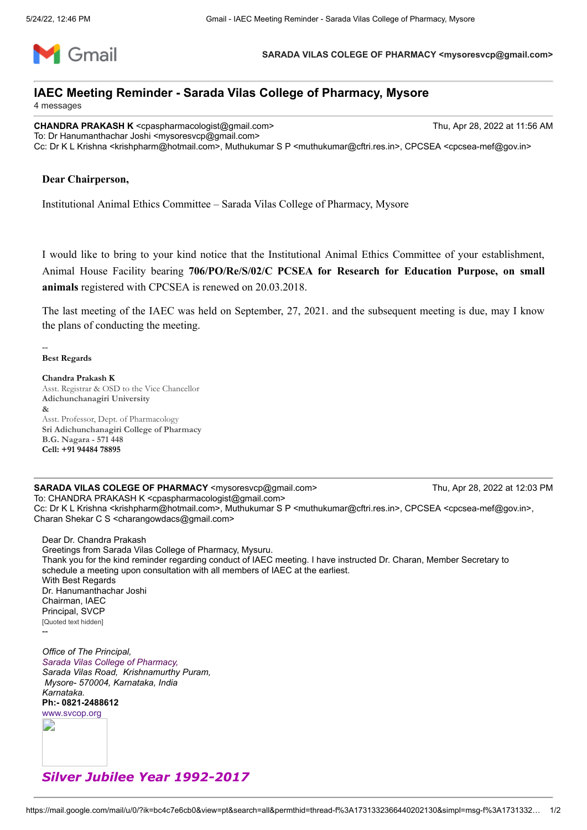

**SARADA VILAS COLEGE OF PHARMACY <mysoresvcp@gmail.com>**

## **IAEC Meeting Reminder - Sarada Vilas College of Pharmacy, Mysore**

4 messages

**CHANDRA PRAKASH K** <cpaspharmacologist@gmail.com> Thu, Apr 28, 2022 at 11:56 AM To: Dr Hanumanthachar Joshi <mysoresvcp@gmail.com> Cc: Dr K L Krishna <krishpharm@hotmail.com>, Muthukumar S P <muthukumar@cftri.res.in>, CPCSEA <cpcsea-mef@gov.in>

## **Dear Chairperson,**

Institutional Animal Ethics Committee – Sarada Vilas College of Pharmacy, Mysore

I would like to bring to your kind notice that the Institutional Animal Ethics Committee of your establishment, Animal House Facility bearing **706/PO/Re/S/02/C PCSEA for Research for Education Purpose, on small animals** registered with CPCSEA is renewed on 20.03.2018.

The last meeting of the IAEC was held on September, 27, 2021. and the subsequent meeting is due, may I know the plans of conducting the meeting.

**Best Regards**

--

**Chandra Prakash K** Asst. Registrar & OSD to the Vice Chancellor **Adichunchanagiri University &**  Asst. Professor, Dept. of Pharmacology **Sri Adichunchanagiri College of Pharmacy B.G. Nagara - 571 448 Cell: +91 94484 78895**

**SARADA VILAS COLEGE OF PHARMACY** <mysoresvcp@gmail.com> Thu, Apr 28, 2022 at 12:03 PM To: CHANDRA PRAKASH K <cpaspharmacologist@gmail.com> Cc: Dr K L Krishna <krishpharm@hotmail.com>, Muthukumar S P <muthukumar@cftri.res.in>, CPCSEA <cpcsea-mef@gov.in>, Charan Shekar C S <charangowdacs@gmail.com>

Dear Dr. Chandra Prakash Greetings from Sarada Vilas College of Pharmacy, Mysuru. Thank you for the kind reminder regarding conduct of IAEC meeting. I have instructed Dr. Charan, Member Secretary to schedule a meeting upon consultation with all members of IAEC at the earliest. With Best Regards Dr. Hanumanthachar Joshi Chairman, IAEC Principal, SVCP [Quoted text hidden] --

*Office of The Principal, Sarada Vilas College of Pharmacy, Sarada Vilas Road, Krishnamurthy Puram, Mysore- 570004, Karnataka, India Karnataka.* **Ph:- 0821-2488612** [www.svcop.org](http://www.svcop.org/)

E

## *Silver Jubilee Year 1992-2017*